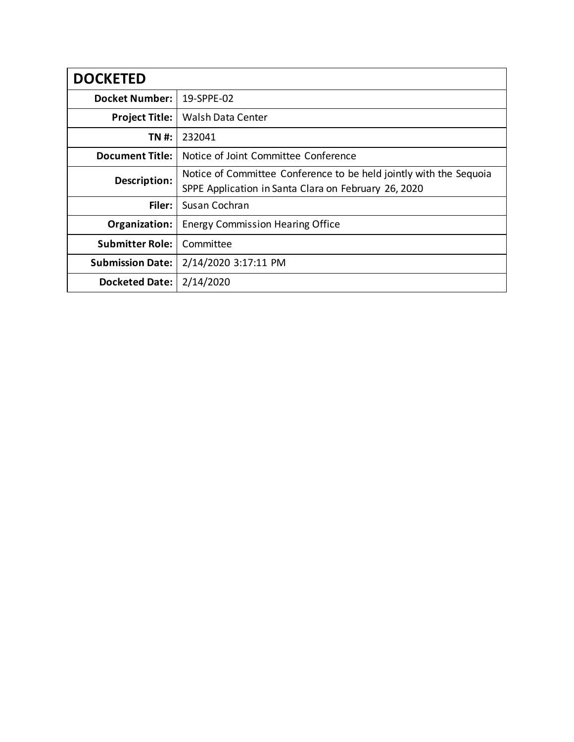| <b>DOCKETED</b>         |                                                                                                                            |
|-------------------------|----------------------------------------------------------------------------------------------------------------------------|
| <b>Docket Number:</b>   | 19-SPPE-02                                                                                                                 |
| <b>Project Title:</b>   | Walsh Data Center                                                                                                          |
| TN #:                   | 232041                                                                                                                     |
| <b>Document Title:</b>  | Notice of Joint Committee Conference                                                                                       |
| Description:            | Notice of Committee Conference to be held jointly with the Sequoia<br>SPPE Application in Santa Clara on February 26, 2020 |
| Filer:                  | Susan Cochran                                                                                                              |
| Organization:           | <b>Energy Commission Hearing Office</b>                                                                                    |
| <b>Submitter Role:</b>  | Committee                                                                                                                  |
| <b>Submission Date:</b> | 2/14/2020 3:17:11 PM                                                                                                       |
| <b>Docketed Date:</b>   | 2/14/2020                                                                                                                  |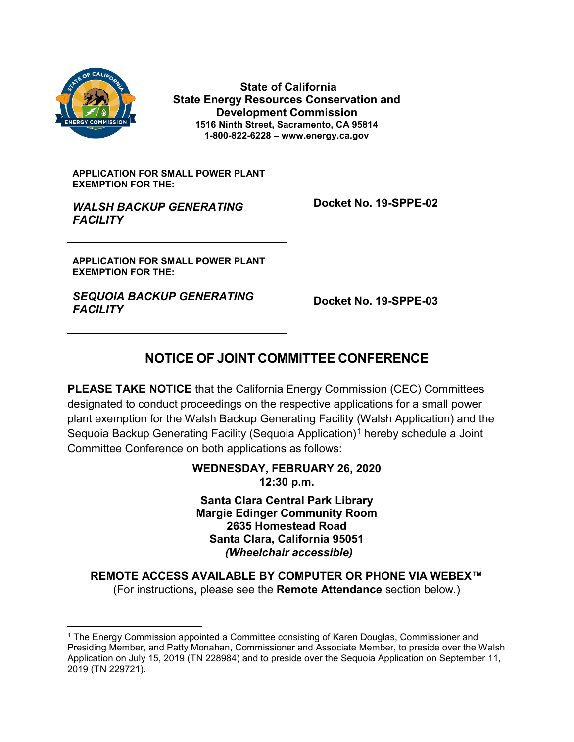

**State of California State Energy Resources Conservation and Development Commission 1516 Ninth Street, Sacramento, CA 95814 1-800-822-6228 – www.energy.ca.gov**

**APPLICATION FOR SMALL POWER PLANT EXEMPTION FOR THE:**

*WALSH BACKUP GENERATING FACILITY*

 **Docket No. 19-SPPE-02**

**APPLICATION FOR SMALL POWER PLANT EXEMPTION FOR THE:**

*SEQUOIA BACKUP GENERATING* 

*FACILITY* **Docket No. 19-SPPE-03**

# **NOTICE OF JOINT COMMITTEE CONFERENCE**

**PLEASE TAKE NOTICE** that the California Energy Commission (CEC) Committees designated to conduct proceedings on the respective applications for a small power plant exemption for the Walsh Backup Generating Facility (Walsh Application) and the Sequoia Backup Generating Facility (Sequoia Application)<sup>[1](#page-1-0)</sup> hereby schedule a Joint Committee Conference on both applications as follows:

#### **WEDNESDAY, FEBRUARY 26, 2020 12:30 p.m.**

**Santa Clara Central Park Library Margie Edinger Community Room 2635 Homestead Road Santa Clara, California 95051**  *(Wheelchair accessible)*

**REMOTE ACCESS AVAILABLE BY COMPUTER OR PHONE VIA WEBEX™** (For instructions**,** please see the **Remote Attendance** section below.)

<span id="page-1-0"></span> <sup>1</sup> The Energy Commission appointed a Committee consisting of Karen Douglas, Commissioner and Presiding Member, and Patty Monahan, Commissioner and Associate Member, to preside over the Walsh Application on July 15, 2019 (TN 228984) and to preside over the Sequoia Application on September 11, 2019 (TN 229721).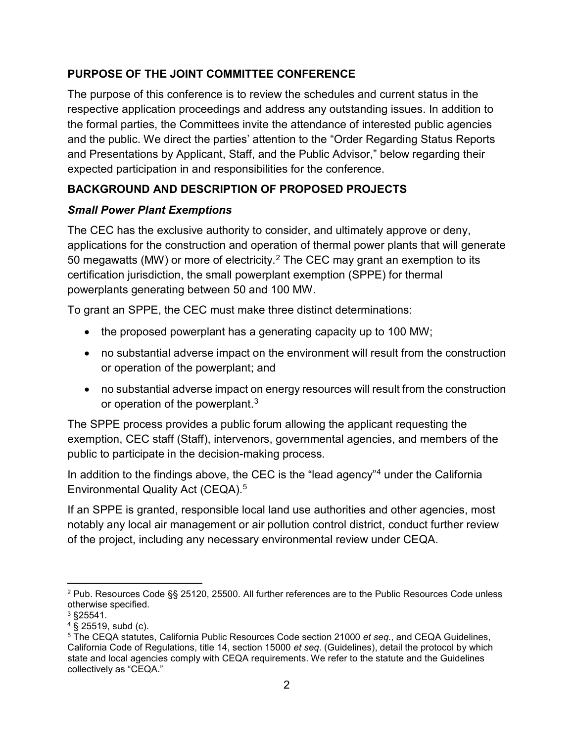## **PURPOSE OF THE JOINT COMMITTEE CONFERENCE**

The purpose of this conference is to review the schedules and current status in the respective application proceedings and address any outstanding issues. In addition to the formal parties, the Committees invite the attendance of interested public agencies and the public. We direct the parties' attention to the "Order Regarding Status Reports and Presentations by Applicant, Staff, and the Public Advisor," below regarding their expected participation in and responsibilities for the conference.

# **BACKGROUND AND DESCRIPTION OF PROPOSED PROJECTS**

## *Small Power Plant Exemptions*

The CEC has the exclusive authority to consider, and ultimately approve or deny, applications for the construction and operation of thermal power plants that will generate 50 megawatts (MW) or more of electricity.[2](#page-2-0) The CEC may grant an exemption to its certification jurisdiction, the small powerplant exemption (SPPE) for thermal powerplants generating between 50 and 100 MW.

To grant an SPPE, the CEC must make three distinct determinations:

- the proposed powerplant has a generating capacity up to 100 MW;
- no substantial adverse impact on the environment will result from the construction or operation of the powerplant; and
- no substantial adverse impact on energy resources will result from the construction or operation of the powerplant.[3](#page-2-1)

The SPPE process provides a public forum allowing the applicant requesting the exemption, CEC staff (Staff), intervenors, governmental agencies, and members of the public to participate in the decision-making process.

In addition to the findings above, the CEC is the "lead agency"<sup>[4](#page-2-2)</sup> under the California Environmental Quality Act (CEQA).[5](#page-2-3)

If an SPPE is granted, responsible local land use authorities and other agencies, most notably any local air management or air pollution control district, conduct further review of the project, including any necessary environmental review under CEQA.

<span id="page-2-0"></span> <sup>2</sup> Pub. Resources Code §§ 25120, 25500. All further references are to the Public Resources Code unless otherwise specified.

<span id="page-2-1"></span><sup>3</sup> §25541.

<span id="page-2-2"></span> $4 \text{ } 8$  25519, subd (c).

<span id="page-2-3"></span><sup>5</sup> The CEQA statutes, California Public Resources Code section 21000 *et seq.*, and CEQA Guidelines, California Code of Regulations, title 14, section 15000 *et seq*. (Guidelines), detail the protocol by which state and local agencies comply with CEQA requirements. We refer to the statute and the Guidelines collectively as "CEQA."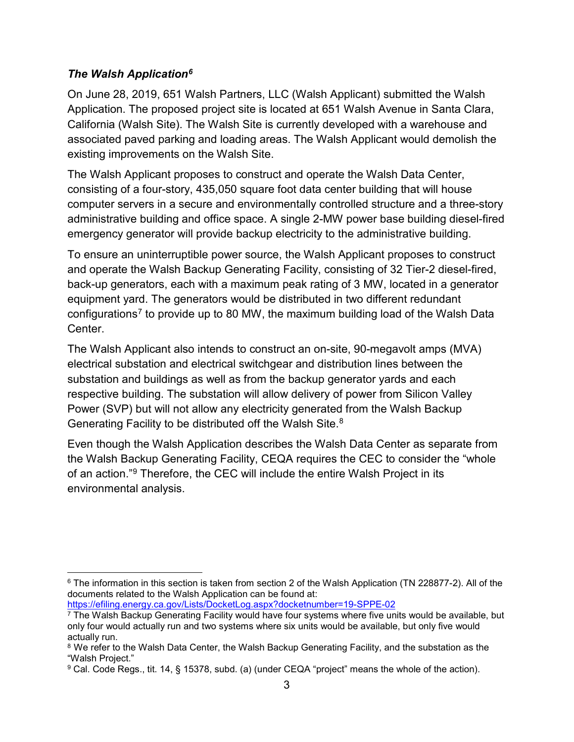## *The Walsh Application[6](#page-3-0)*

On June 28, 2019, 651 Walsh Partners, LLC (Walsh Applicant) submitted the Walsh Application. The proposed project site is located at 651 Walsh Avenue in Santa Clara, California (Walsh Site). The Walsh Site is currently developed with a warehouse and associated paved parking and loading areas. The Walsh Applicant would demolish the existing improvements on the Walsh Site.

The Walsh Applicant proposes to construct and operate the Walsh Data Center, consisting of a four-story, 435,050 square foot data center building that will house computer servers in a secure and environmentally controlled structure and a three-story administrative building and office space. A single 2-MW power base building diesel-fired emergency generator will provide backup electricity to the administrative building.

To ensure an uninterruptible power source, the Walsh Applicant proposes to construct and operate the Walsh Backup Generating Facility, consisting of 32 Tier-2 diesel-fired, back-up generators, each with a maximum peak rating of 3 MW, located in a generator equipment yard. The generators would be distributed in two different redundant configurations<sup>[7](#page-3-1)</sup> to provide up to 80 MW, the maximum building load of the Walsh Data Center.

The Walsh Applicant also intends to construct an on-site, 90-megavolt amps (MVA) electrical substation and electrical switchgear and distribution lines between the substation and buildings as well as from the backup generator yards and each respective building. The substation will allow delivery of power from Silicon Valley Power (SVP) but will not allow any electricity generated from the Walsh Backup Generating Facility to be distributed off the Walsh Site.<sup>[8](#page-3-2)</sup>

Even though the Walsh Application describes the Walsh Data Center as separate from the Walsh Backup Generating Facility, CEQA requires the CEC to consider the "whole of an action."[9](#page-3-3) Therefore, the CEC will include the entire Walsh Project in its environmental analysis.

<https://efiling.energy.ca.gov/Lists/DocketLog.aspx?docketnumber=19-SPPE-02>  $\frac{7}{7}$  The Walsh Backup Generating Facility would have four systems where five units would be available, but

<span id="page-3-0"></span> <sup>6</sup> The information in this section is taken from section 2 of the Walsh Application (TN 228877-2). All of the documents related to the Walsh Application can be found at:

<span id="page-3-1"></span>only four would actually run and two systems where six units would be available, but only five would actually run.

<span id="page-3-2"></span><sup>&</sup>lt;sup>8</sup> We refer to the Walsh Data Center, the Walsh Backup Generating Facility, and the substation as the "Walsh Project."

<span id="page-3-3"></span><sup>9</sup> Cal. Code Regs., tit. 14, § 15378, subd. (a) (under CEQA "project" means the whole of the action).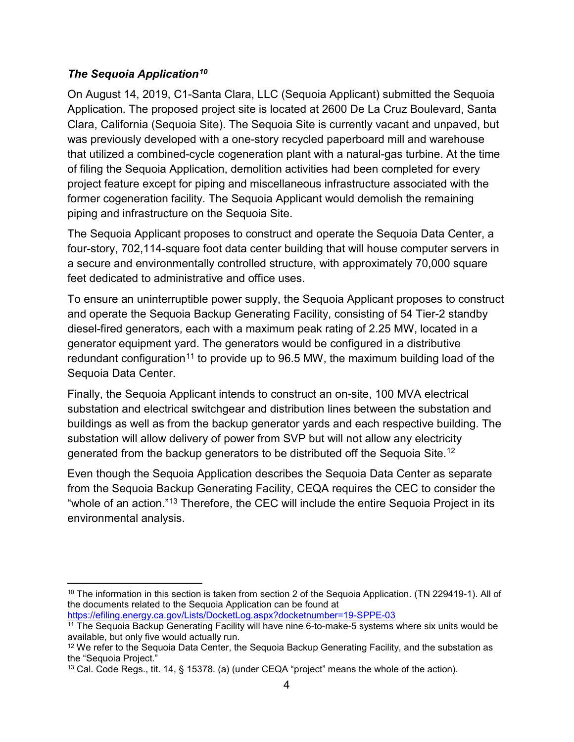#### *The Sequoia Application[10](#page-4-0)*

On August 14, 2019, C1-Santa Clara, LLC (Sequoia Applicant) submitted the Sequoia Application. The proposed project site is located at 2600 De La Cruz Boulevard, Santa Clara, California (Sequoia Site). The Sequoia Site is currently vacant and unpaved, but was previously developed with a one-story recycled paperboard mill and warehouse that utilized a combined-cycle cogeneration plant with a natural-gas turbine. At the time of filing the Sequoia Application, demolition activities had been completed for every project feature except for piping and miscellaneous infrastructure associated with the former cogeneration facility. The Sequoia Applicant would demolish the remaining piping and infrastructure on the Sequoia Site.

The Sequoia Applicant proposes to construct and operate the Sequoia Data Center, a four-story, 702,114-square foot data center building that will house computer servers in a secure and environmentally controlled structure, with approximately 70,000 square feet dedicated to administrative and office uses.

To ensure an uninterruptible power supply, the Sequoia Applicant proposes to construct and operate the Sequoia Backup Generating Facility, consisting of 54 Tier-2 standby diesel-fired generators, each with a maximum peak rating of 2.25 MW, located in a generator equipment yard. The generators would be configured in a distributive redundant configuration<sup>[11](#page-4-1)</sup> to provide up to  $96.5$  MW, the maximum building load of the Sequoia Data Center.

Finally, the Sequoia Applicant intends to construct an on-site, 100 MVA electrical substation and electrical switchgear and distribution lines between the substation and buildings as well as from the backup generator yards and each respective building. The substation will allow delivery of power from SVP but will not allow any electricity generated from the backup generators to be distributed off the Sequoia Site.[12](#page-4-2)

Even though the Sequoia Application describes the Sequoia Data Center as separate from the Sequoia Backup Generating Facility, CEQA requires the CEC to consider the "whole of an action."[13](#page-4-3) Therefore, the CEC will include the entire Sequoia Project in its environmental analysis.

<span id="page-4-0"></span> <sup>10</sup> The information in this section is taken from section 2 of the Sequoia Application. (TN 229419-1). All of the documents related to the Sequoia Application can be found at

<https://efiling.energy.ca.gov/Lists/DocketLog.aspx?docketnumber=19-SPPE-03>

<span id="page-4-1"></span><sup>11</sup> The Sequoia Backup Generating Facility will have nine 6-to-make-5 systems where six units would be available, but only five would actually run.

<span id="page-4-2"></span><sup>&</sup>lt;sup>12</sup> We refer to the Sequoia Data Center, the Sequoia Backup Generating Facility, and the substation as the "Sequoia Project."

<span id="page-4-3"></span><sup>&</sup>lt;sup>13</sup> Cal. Code Regs., tit. 14, § 15378. (a) (under CEQA "project" means the whole of the action).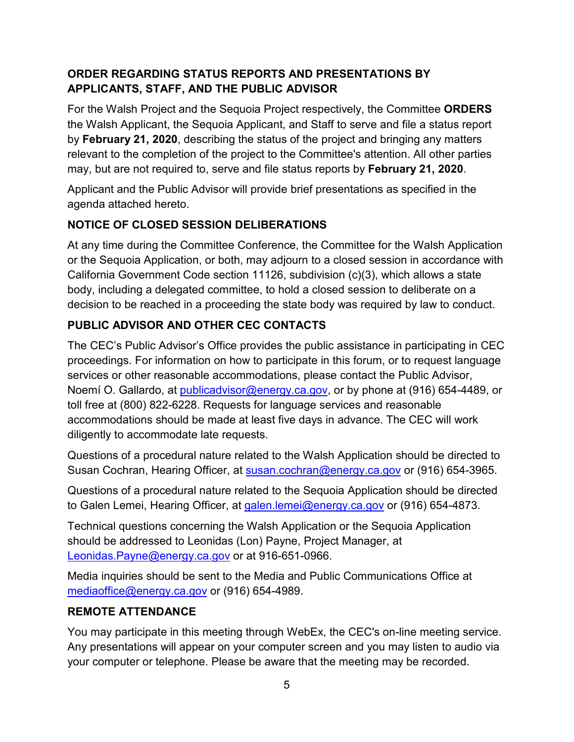# **ORDER REGARDING STATUS REPORTS AND PRESENTATIONS BY APPLICANTS, STAFF, AND THE PUBLIC ADVISOR**

For the Walsh Project and the Sequoia Project respectively, the Committee **ORDERS** the Walsh Applicant, the Sequoia Applicant, and Staff to serve and file a status report by **February 21, 2020**, describing the status of the project and bringing any matters relevant to the completion of the project to the Committee's attention. All other parties may, but are not required to, serve and file status reports by **February 21, 2020**.

Applicant and the Public Advisor will provide brief presentations as specified in the agenda attached hereto.

# **NOTICE OF CLOSED SESSION DELIBERATIONS**

At any time during the Committee Conference, the Committee for the Walsh Application or the Sequoia Application, or both, may adjourn to a closed session in accordance with California Government Code section 11126, subdivision (c)(3), which allows a state body, including a delegated committee, to hold a closed session to deliberate on a decision to be reached in a proceeding the state body was required by law to conduct.

# **PUBLIC ADVISOR AND OTHER CEC CONTACTS**

The CEC's Public Advisor's Office provides the public assistance in participating in CEC proceedings. For information on how to participate in this forum, or to request language services or other reasonable accommodations, please contact the Public Advisor, Noemí O. Gallardo, at [publicadvisor@energy.ca.gov,](mailto:publicadvisor@energy.ca.gov) or by phone at (916) 654-4489, or toll free at (800) 822-6228. Requests for language services and reasonable accommodations should be made at least five days in advance. The CEC will work diligently to accommodate late requests.

Questions of a procedural nature related to the Walsh Application should be directed to Susan Cochran, Hearing Officer, at [susan.cochran@energy.ca.gov](mailto:susan.cochran@energy.ca.gov) or (916) 654-3965.

Questions of a procedural nature related to the Sequoia Application should be directed to Galen Lemei, Hearing Officer, at [galen.lemei@energy.ca.gov](mailto:galen.lemei@energy.ca.gov) or (916) 654-4873.

Technical questions concerning the Walsh Application or the Sequoia Application should be addressed to Leonidas (Lon) Payne, Project Manager, at [Leonidas.Payne@energy.ca.gov](mailto:Leonidas.Payne@energy.ca.gov) or at 916-651-0966.

Media inquiries should be sent to the Media and Public Communications Office at [mediaoffice@energy.ca.gov](mailto:mediaoffice@energy.ca.gov) or (916) 654-4989.

## **REMOTE ATTENDANCE**

You may participate in this meeting through WebEx, the CEC's on-line meeting service. Any presentations will appear on your computer screen and you may listen to audio via your computer or telephone. Please be aware that the meeting may be recorded.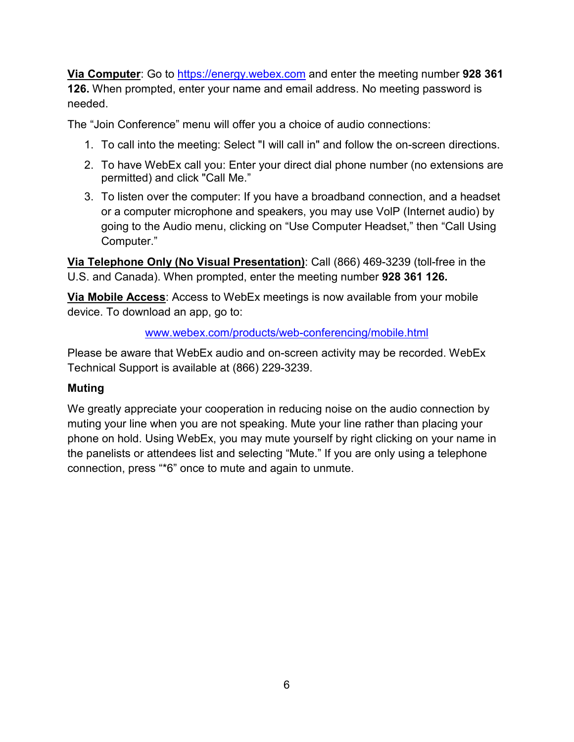**Via Computer**: Go to [https://energy.webex.com](https://energy.webex.com/) and enter the meeting number **928 361 126.** When prompted, enter your name and email address. No meeting password is needed.

The "Join Conference" menu will offer you a choice of audio connections:

- 1. To call into the meeting: Select "I will call in" and follow the on-screen directions.
- 2. To have WebEx call you: Enter your direct dial phone number (no extensions are permitted) and click "Call Me."
- 3. To listen over the computer: If you have a broadband connection, and a headset or a computer microphone and speakers, you may use VolP (Internet audio) by going to the Audio menu, clicking on "Use Computer Headset," then "Call Using Computer."

**Via Telephone Only (No Visual Presentation)**: Call (866) 469-3239 (toll-free in the U.S. and Canada). When prompted, enter the meeting number **928 361 126.**

**Via Mobile Access**: Access to WebEx meetings is now available from your mobile device. To download an app, go to:

#### [www.webex.com/products/web-conferencing/mobile.html](http://www.webex.com/products/web-conferencing/mobile.html)

Please be aware that WebEx audio and on-screen activity may be recorded. WebEx Technical Support is available at (866) 229-3239.

## **Muting**

We greatly appreciate your cooperation in reducing noise on the audio connection by muting your line when you are not speaking. Mute your line rather than placing your phone on hold. Using WebEx, you may mute yourself by right clicking on your name in the panelists or attendees list and selecting "Mute." If you are only using a telephone connection, press "\*6" once to mute and again to unmute.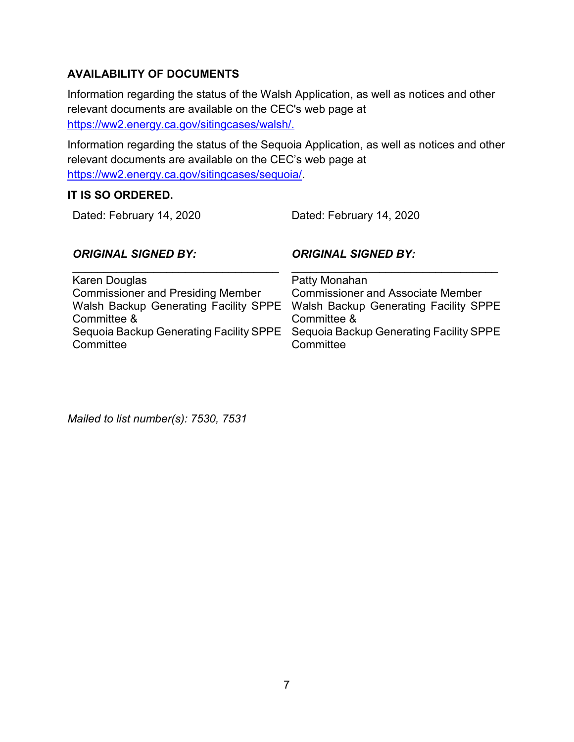# **AVAILABILITY OF DOCUMENTS**

Information regarding the status of the Walsh Application, as well as notices and other relevant documents are available on the CEC's web page at [https://ww2.energy.ca.gov/sitingcases/walsh/.](https://ww2.energy.ca.gov/sitingcases/walsh/)

Information regarding the status of the Sequoia Application, as well as notices and other relevant documents are available on the CEC's web page at [https://ww2.energy.ca.gov/sitingcases/sequoia/.](https://ww2.energy.ca.gov/sitingcases/sequoia/)

## **IT IS SO ORDERED.**

Dated: February 14, 2020 Dated: February 14, 2020

# *ORIGINAL SIGNED BY:*

*ORIGINAL SIGNED BY:*

| Karen Douglas                            | Patty Monahan                                                                   |
|------------------------------------------|---------------------------------------------------------------------------------|
| <b>Commissioner and Presiding Member</b> | <b>Commissioner and Associate Member</b>                                        |
|                                          | Walsh Backup Generating Facility SPPE Walsh Backup Generating Facility SPPE     |
| Committee &                              | Committee &                                                                     |
|                                          | Sequoia Backup Generating Facility SPPE Sequoia Backup Generating Facility SPPE |
| Committee                                | Committee                                                                       |
|                                          |                                                                                 |

*Mailed to list number(s): 7530, 7531*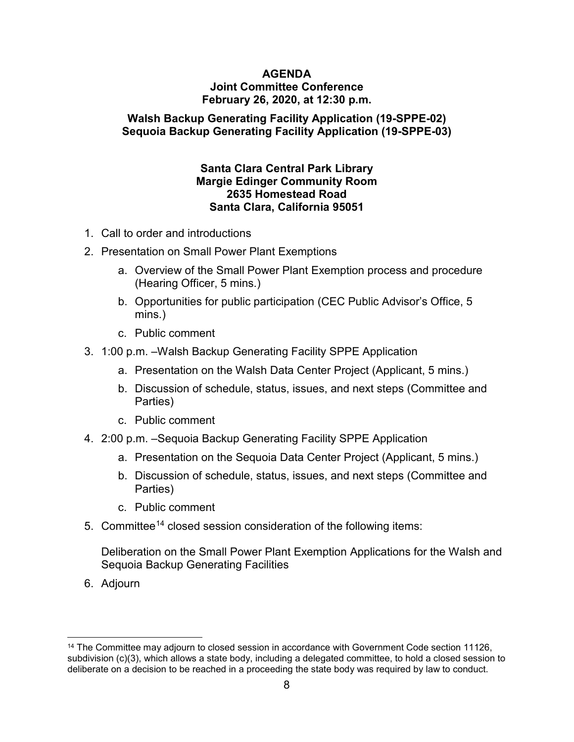#### **AGENDA Joint Committee Conference February 26, 2020, at 12:30 p.m.**

#### **Walsh Backup Generating Facility Application (19-SPPE-02) Sequoia Backup Generating Facility Application (19-SPPE-03)**

#### **Santa Clara Central Park Library Margie Edinger Community Room 2635 Homestead Road Santa Clara, California 95051**

- 1. Call to order and introductions
- 2. Presentation on Small Power Plant Exemptions
	- a. Overview of the Small Power Plant Exemption process and procedure (Hearing Officer, 5 mins.)
	- b. Opportunities for public participation (CEC Public Advisor's Office, 5 mins.)
	- c. Public comment
- 3. 1:00 p.m. –Walsh Backup Generating Facility SPPE Application
	- a. Presentation on the Walsh Data Center Project (Applicant, 5 mins.)
	- b. Discussion of schedule, status, issues, and next steps (Committee and Parties)
	- c. Public comment
- 4. 2:00 p.m. –Sequoia Backup Generating Facility SPPE Application
	- a. Presentation on the Sequoia Data Center Project (Applicant, 5 mins.)
	- b. Discussion of schedule, status, issues, and next steps (Committee and Parties)
	- c. Public comment
- 5. Committee<sup>[14](#page-8-0)</sup> closed session consideration of the following items:

Deliberation on the Small Power Plant Exemption Applications for the Walsh and Sequoia Backup Generating Facilities

6. Adjourn

<span id="page-8-0"></span><sup>&</sup>lt;sup>14</sup> The Committee may adjourn to closed session in accordance with Government Code section 11126, subdivision (c)(3), which allows a state body, including a delegated committee, to hold a closed session to deliberate on a decision to be reached in a proceeding the state body was required by law to conduct.